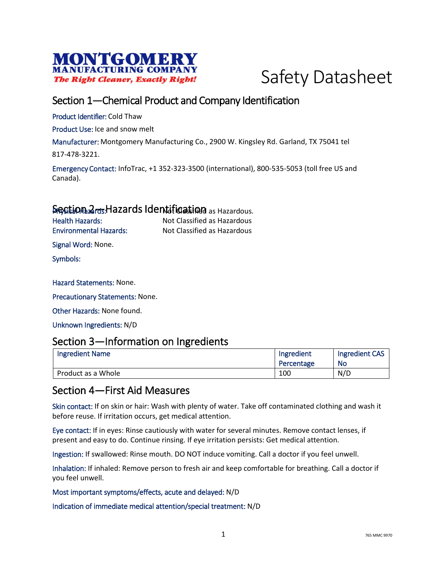



## Section 1—Chemical Product and Company Identification

Product Identifier: Cold Thaw

Product Use: Ice and snow melt

Manufacturer: Montgomery Manufacturing Co., 2900 W. Kingsley Rd. Garland, TX 75041 tel

817-478-3221.

Emergency Contact: InfoTrac, +1 352-323-3500 (international), 800-535-5053 (toll free US and Canada).

#### Section 2<sub>rds</sub> Hazards Identification as Hazardous.

Health Hazards: Not Classified as Hazardous Environmental Hazards: Not Classified as Hazardous

Signal Word: None.

Symbols:

Hazard Statements: None.

Precautionary Statements: None.

Other Hazards: None found.

Unknown Ingredients: N/D

#### Section 3—Information on Ingredients

| <b>Ingredient Name</b> | Ingredient | <b>Ingredient CAS</b> |
|------------------------|------------|-----------------------|
|                        | Percentage | <b>No</b>             |
| Product as a Whole     | 100        | N/D                   |

### Section 4—First Aid Measures

Skin contact: If on skin or hair: Wash with plenty of water. Take off contaminated clothing and wash it before reuse. If irritation occurs, get medical attention.

Eye contact: If in eyes: Rinse cautiously with water for several minutes. Remove contact lenses, if present and easy to do. Continue rinsing. If eye irritation persists: Get medical attention.

Ingestion: If swallowed: Rinse mouth. DO NOT induce vomiting. Call a doctor if you feel unwell.

Inhalation: If inhaled: Remove person to fresh air and keep comfortable for breathing. Call a doctor if you feel unwell.

Most important symptoms/effects, acute and delayed: N/D

Indication of immediate medical attention/special treatment: N/D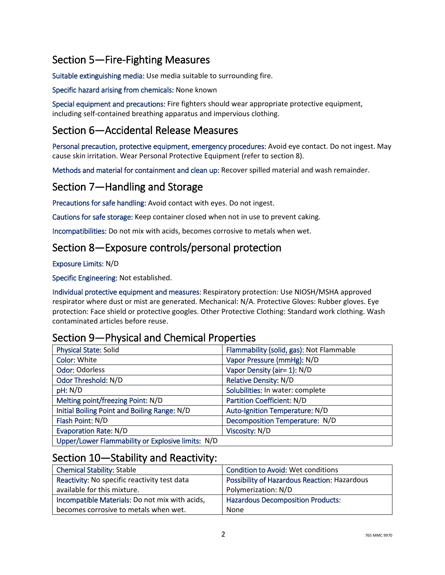# Section 5—Fire-Fighting Measures

Suitable extinguishing media: Use media suitable to surrounding fire.

Specific hazard arising from chemicals: None known

Special equipment and precautions: Fire fighters should wear appropriate protective equipment, including self-contained breathing apparatus and impervious clothing.

## Section 6—Accidental Release Measures

Personal precaution, protective equipment, emergency procedures: Avoid eye contact. Do not ingest. May cause skin irritation. Wear Personal Protective Equipment (refer to section 8).

Methods and material for containment and clean up: Recover spilled material and wash remainder.

## Section 7—Handling and Storage

Precautions for safe handling: Avoid contact with eyes. Do not ingest.

Cautions for safe storage: Keep container closed when not in use to prevent caking.

Incompatibilities: Do not mix with acids, becomes corrosive to metals when wet.

## Section 8—Exposure controls/personal protection

Exposure Limits: N/D

Specific Engineering: Not established.

Individual protective equipment and measures: Respiratory protection: Use NIOSH/MSHA approved respirator where dust or mist are generated. Mechanical: N/A. Protective Gloves: Rubber gloves. Eye protection: Face shield or protective googles. Other Protective Clothing: Standard work clothing. Wash contaminated articles before reuse.

## Section 9—Physical and Chemical Properties

| <b>Physical State: Solid</b>                      | Flammability (solid, gas): Not Flammable |
|---------------------------------------------------|------------------------------------------|
| Color: White                                      | Vapor Pressure (mmHg): N/D               |
| <b>Odor: Odorless</b>                             | Vapor Density (air= 1): N/D              |
| Odor Threshold: N/D                               | Relative Density: N/D                    |
| pH: N/D                                           | Solubilities: In water: complete         |
| Melting point/freezing Point: N/D                 | <b>Partition Coefficient: N/D</b>        |
| Initial Boiling Point and Boiling Range: N/D      | Auto-Ignition Temperature: N/D           |
| Flash Point: N/D                                  | Decomposition Temperature: N/D           |
| <b>Evaporation Rate: N/D</b>                      | Viscosity: N/D                           |
| Upper/Lower Flammability or Explosive limits: N/D |                                          |

### Section 10—Stability and Reactivity:

| <b>Chemical Stability: Stable</b>              | <b>Condition to Avoid: Wet conditions</b>           |
|------------------------------------------------|-----------------------------------------------------|
| Reactivity: No specific reactivity test data   | <b>Possibility of Hazardous Reaction: Hazardous</b> |
| available for this mixture.                    | Polymerization: N/D                                 |
| Incompatible Materials: Do not mix with acids, | <b>Hazardous Decomposition Products:</b>            |
| becomes corrosive to metals when wet.          | None                                                |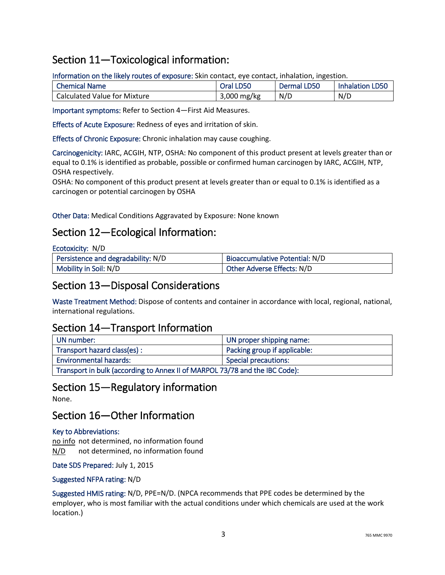## Section 11—Toxicological information:

Information on the likely routes of exposure: Skin contact, eye contact, inhalation, ingestion.

| <b>Chemical Name</b>         | Oral LD50   | <b>Dermal LD50</b> | <b>Inhalation LD50</b> |
|------------------------------|-------------|--------------------|------------------------|
| Calculated Value for Mixture | 3,000 mg/kg | N/D                | N/D                    |

Important symptoms: Refer to Section 4—First Aid Measures.

Effects of Acute Exposure: Redness of eyes and irritation of skin.

Effects of Chronic Exposure: Chronic inhalation may cause coughing.

Carcinogenicity: IARC, ACGIH, NTP, OSHA: No component of this product present at levels greater than or equal to 0.1% is identified as probable, possible or confirmed human carcinogen by IARC, ACGIH, NTP, OSHA respectively.

OSHA: No component of this product present at levels greater than or equal to 0.1% is identified as a carcinogen or potential carcinogen by OSHA

Other Data: Medical Conditions Aggravated by Exposure: None known

## Section 12—Ecological Information:

| Ecotoxicity: N/D |  |
|------------------|--|
|------------------|--|

| Persistence and degradability: N/D | <b>Bioaccumulative Potential: N/D</b> |
|------------------------------------|---------------------------------------|
| Mobility in Soil: N/D              | Other Adverse Effects: N/D            |

#### Section 13—Disposal Considerations

Waste Treatment Method: Dispose of contents and container in accordance with local, regional, national, international regulations.

#### Section 14—Transport Information

| UN number:                                                                  | UN proper shipping name:     |
|-----------------------------------------------------------------------------|------------------------------|
| Transport hazard class(es):                                                 | Packing group if applicable: |
| <b>Environmental hazards:</b><br><b>Special precautions:</b>                |                              |
| Transport in bulk (according to Annex II of MARPOL 73/78 and the IBC Code): |                              |

#### Section 15—Regulatory information

None.

### Section 16—Other Information

#### Key to Abbreviations:

no info not determined, no information found N/D not determined, no information found

Date SDS Prepared: July 1, 2015

#### Suggested NFPA rating: N/D

Suggested HMIS rating: N/D, PPE=N/D. (NPCA recommends that PPE codes be determined by the employer, who is most familiar with the actual conditions under which chemicals are used at the work location.)